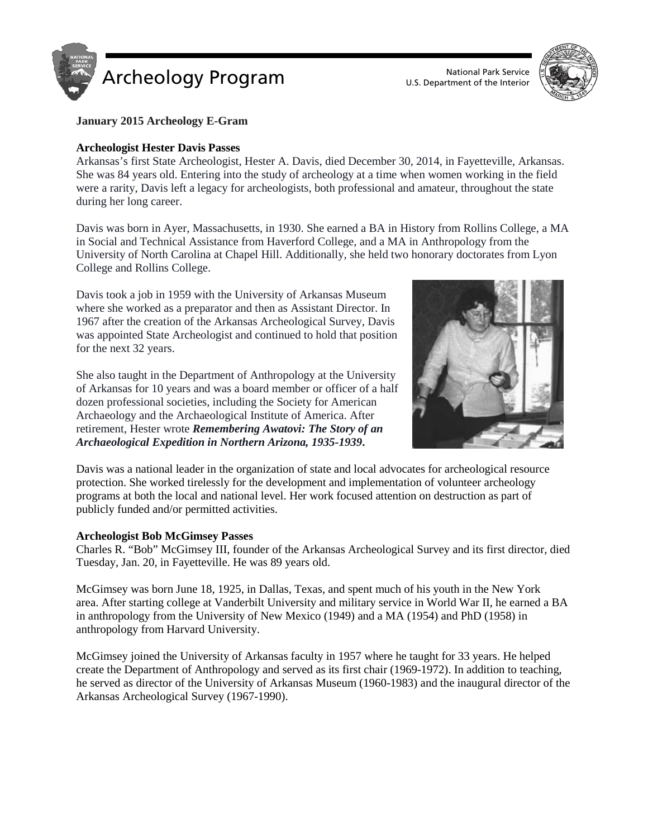



## **January 2015 Archeology E-Gram**

### **Archeologist Hester Davis Passes**

Arkansas's first State Archeologist, Hester A. Davis, died December 30, 2014, in Fayetteville, Arkansas. She was 84 years old. Entering into the study of archeology at a time when women working in the field were a rarity, Davis left a legacy for archeologists, both professional and amateur, throughout the state during her long career.

Davis was born in Ayer, Massachusetts, in 1930. She earned a BA in History from Rollins College, a MA in Social and Technical Assistance from Haverford College, and a MA in Anthropology from the University of North Carolina at Chapel Hill. Additionally, she held two honorary doctorates from Lyon College and Rollins College.

Davis took a job in 1959 with the University of Arkansas Museum where she worked as a preparator and then as Assistant Director. In 1967 after the creation of the Arkansas Archeological Survey, Davis was appointed State Archeologist and continued to hold that position for the next 32 years.

She also taught in the Department of Anthropology at the University of Arkansas for 10 years and was a board member or officer of a half dozen professional societies, including the Society for American Archaeology and the Archaeological Institute of America. After retirement, Hester wrote *Remembering Awatovi: The Story of an Archaeological Expedition in Northern Arizona, 1935-1939***.**



Davis was a national leader in the organization of state and local advocates for archeological resource protection. She worked tirelessly for the development and implementation of volunteer archeology programs at both the local and national level. Her work focused attention on destruction as part of publicly funded and/or permitted activities.

#### **Archeologist Bob McGimsey Passes**

Charles R. "Bob" McGimsey III, founder of the Arkansas Archeological Survey and its first director, died Tuesday, Jan. 20, in Fayetteville. He was 89 years old.

McGimsey was born June 18, 1925, in Dallas, Texas, and spent much of his youth in the New York area. After starting college at Vanderbilt University and military service in World War II, he earned a BA in anthropology from the University of New Mexico (1949) and a MA (1954) and PhD (1958) in anthropology from Harvard University.

McGimsey joined the University of Arkansas faculty in 1957 where he taught for 33 years. He helped create the Department of Anthropology and served as its first chair (1969-1972). In addition to teaching, he served as director of the University of Arkansas Museum (1960-1983) and the inaugural director of the Arkansas Archeological Survey (1967-1990).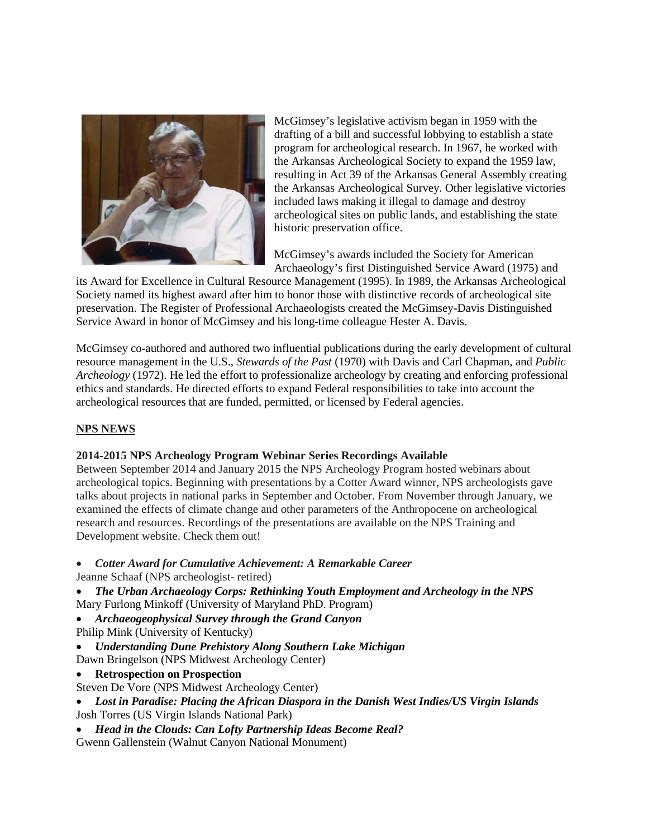

McGimsey's legislative activism began in 1959 with the drafting of a bill and successful lobbying to establish a state program for archeological research. In 1967, he worked with the Arkansas Archeological Society to expand the 1959 law, resulting in Act 39 of the [Arkansas General Assembly](http://www.encyclopediaofarkansas.net/encyclopedia/entry-detail.aspx?entryID=3800) creating the Arkansas Archeological Survey. Other legislative victories included laws making it illegal to damage and destroy archeological sites on public lands, and establishing the state historic preservation office.

McGimsey's awards included the Society for American Archaeology's first Distinguished Service Award (1975) and

its Award for Excellence in Cultural Resource Management (1995). In 1989, the Arkansas Archeological Society named its highest award after him to honor those with distinctive records of archeological site preservation. The Register of Professional Archaeologists created the McGimsey-Davis Distinguished Service Award in honor of McGimsey and his long-time colleague Hester A. Davis.

McGimsey co-authored and authored two influential publications during the early development of cultural resource management in the U.S., *Stewards of the Past* (1970) with Davis and Carl Chapman, and *Public Archeology* (1972). He led the effort to professionalize archeology by creating and enforcing professional ethics and standards. He directed efforts to expand Federal responsibilities to take into account the archeological resources that are funded, permitted, or licensed by Federal agencies.

# **NPS NEWS**

## **2014-2015 NPS Archeology Program Webinar Series Recordings Available**

Between September 2014 and January 2015 the NPS Archeology Program hosted webinars about archeological topics. Beginning with presentations by a Cotter Award winner, NPS archeologists gave talks about projects in national parks in September and October. From November through January, we examined the effects of climate change and other parameters of the Anthropocene on archeological research and resources. Recordings of the presentations are available on the NPS Training and Development website. Check them out!

- *Cotter Award for Cumulative Achievement: A Remarkable Career*
- Jeanne Schaaf (NPS archeologist- retired)
- *The Urban Archaeology Corps: Rethinking Youth Employment and Archeology in the NPS* Mary Furlong Minkoff (University of Maryland PhD. Program)
- *Archaeogeophysical Survey through the Grand Canyon*
- Philip Mink (University of Kentucky)
- *Understanding Dune Prehistory Along Southern Lake Michigan*
- Dawn Bringelson (NPS Midwest Archeology Center)
- **Retrospection on Prospection**
- Steven De Vore (NPS Midwest Archeology Center)
- *Lost in Paradise: Placing the African Diaspora in the Danish West Indies/US Virgin Islands* Josh Torres (US Virgin Islands National Park)
- *Head in the Clouds: Can Lofty Partnership Ideas Become Real?* Gwenn Gallenstein (Walnut Canyon National Monument)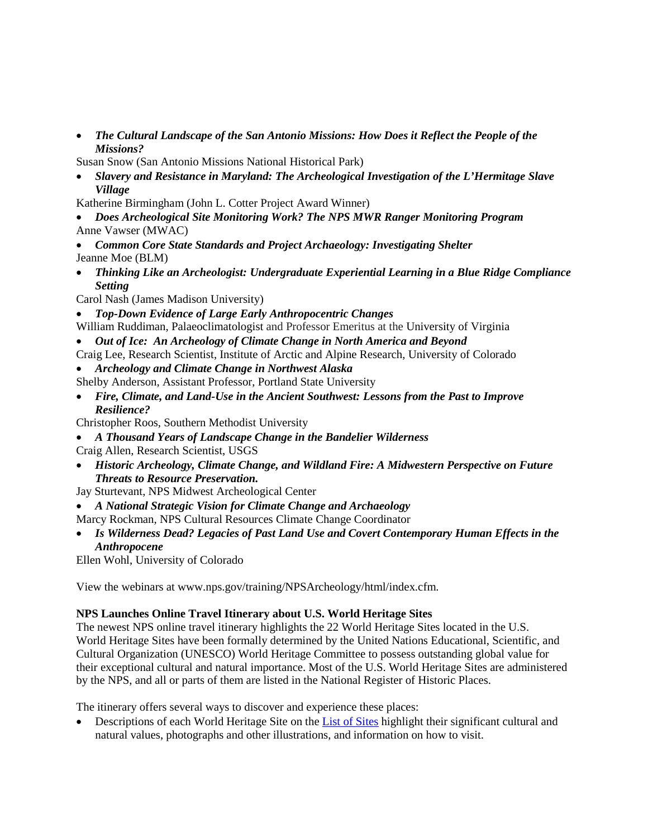• *The Cultural Landscape of the San Antonio Missions: How Does it Reflect the People of the Missions?*

Susan Snow (San Antonio Missions National Historical Park)

• *Slavery and Resistance in Maryland: The Archeological Investigation of the L'Hermitage Slave Village*

Katherine Birmingham (John L. Cotter Project Award Winner)

- *Does Archeological Site Monitoring Work? The NPS MWR Ranger Monitoring Program* Anne Vawser (MWAC)
- *Common Core State Standards and Project Archaeology: Investigating Shelter* Jeanne Moe (BLM)
- *Thinking Like an Archeologist: Undergraduate Experiential Learning in a Blue Ridge Compliance Setting*

Carol Nash (James Madison University)

- *Top-Down Evidence of Large Early Anthropocentric Changes*
- William Ruddiman, Palaeoclimatologist and Professor Emeritus at the University of Virginia
- *Out of Ice: An Archeology of Climate Change in North America and Beyond*

Craig Lee, Research Scientist, Institute of Arctic and Alpine Research, University of Colorado

- *Archeology and Climate Change in Northwest Alaska*
- Shelby Anderson, Assistant Professor, Portland State University
- *Fire, Climate, and Land-Use in the Ancient Southwest: Lessons from the Past to Improve Resilience?*

Christopher Roos, Southern Methodist University

- *A Thousand Years of Landscape Change in the Bandelier Wilderness*
- Craig Allen, Research Scientist, USGS
- *Historic Archeology, Climate Change, and Wildland Fire: A Midwestern Perspective on Future Threats to Resource Preservation.*
- Jay Sturtevant, NPS Midwest Archeological Center
- *A National Strategic Vision for Climate Change and Archaeology*
- Marcy Rockman, NPS Cultural Resources Climate Change Coordinator
- *Is Wilderness Dead? Legacies of Past Land Use and Covert Contemporary Human Effects in the Anthropocene*

Ellen Wohl, University of Colorado

View the webinars at www.nps.gov/training/NPSArcheology/html/index.cfm.

## **NPS Launches Online Travel Itinerary about U.S. World Heritage Sites**

The newest NPS online travel itinerary highlights the 22 World Heritage Sites located in the U.S. World Heritage Sites have been formally determined by the United Nations Educational, Scientific, and Cultural Organization (UNESCO) World Heritage Committee to possess outstanding global value for their exceptional cultural and natural importance. Most of the U.S. World Heritage Sites are administered by the NPS, and all or parts of them are listed in the National Register of Historic Places.

The itinerary offers several ways to discover and experience these places:

• Descriptions of each World Heritage Site on the [List of Sites](http://www.nps.gov/nr/travel/worldheritagesites/list_of_sites.htm) highlight their significant cultural and natural values, photographs and other illustrations, and information on how to visit.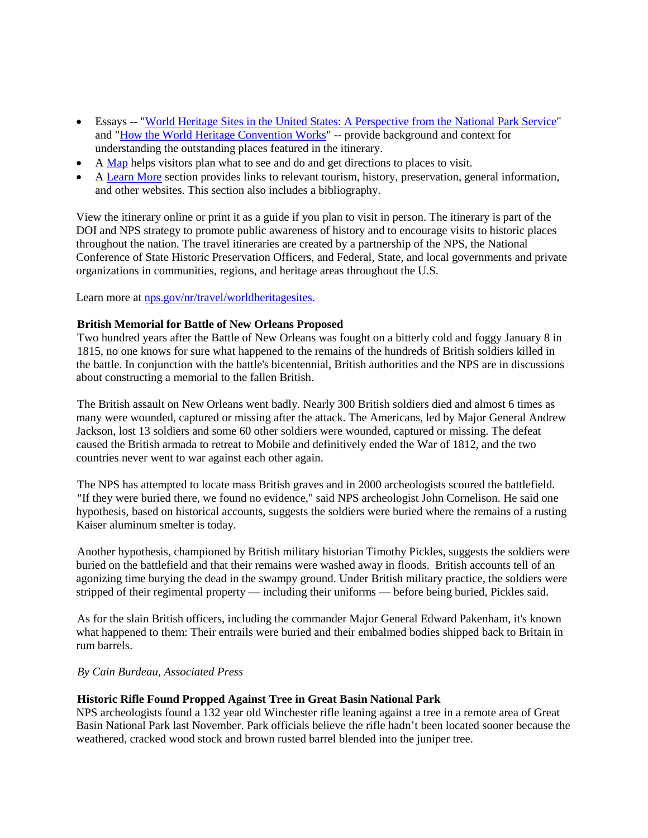- Essays -- ["World Heritage Sites in the United States: A Perspective from the National Park Service"](http://www.nps.gov/nr/travel/worldheritagesites/World_Heritage_Sites_and_NPS.htm) and ["How the World Heritage Convention Works"](http://www.nps.gov/nr/travel/worldheritagesites/World_Heritage_Convention.htm) -- provide background and context for understanding the outstanding places featured in the itinerary.
- A  $\overline{\text{Map}}$  helps visitors plan what to see and do and get directions to places to visit.
- A [Learn More](http://www.nps.gov/nr/travel/worldheritagesites/learnmore.htm) section provides links to relevant tourism, history, preservation, general information, and other websites. This section also includes a bibliography.

View the itinerary online or print it as a guide if you plan to visit in person. The itinerary is part of the DOI and NPS strategy to promote public awareness of history and to encourage visits to historic places throughout the nation. The travel itineraries are created by a partnership of the NPS, the National Conference of State Historic Preservation Officers, and Federal, State, and local governments and private organizations in communities, regions, and heritage areas throughout the U.S.

Learn more at [nps.gov/nr/travel/worldheritagesites.](http://www.nps.gov/nr/travel/worldheritagesites/)

## **British Memorial for Battle of New Orleans Proposed**

Two hundred years after the Battle of New Orleans was fought on a bitterly cold and foggy January 8 in 1815, no one knows for sure what happened to the remains of the hundreds of British soldiers killed in the battle. In conjunction with the battle's bicentennial, British authorities and the NPS are in discussions about constructing a memorial to the fallen British.

The British assault on New Orleans went badly. Nearly 300 British soldiers died and almost 6 times as many were wounded, captured or missing after the attack. The Americans, led by Major General Andrew Jackson, lost 13 soldiers and some 60 other soldiers were wounded, captured or missing. The defeat caused the British armada to retreat to Mobile and definitively ended the War of 1812, and the two countries never went to war against each other again.

The NPS has attempted to locate mass British graves and in 2000 archeologists scoured the battlefield. "If they were buried there, we found no evidence," said NPS archeologist John Cornelison. He said one hypothesis, based on historical accounts, suggests the soldiers were buried where the remains of a rusting Kaiser aluminum smelter is today.

Another hypothesis, championed by British military historian Timothy Pickles, suggests the soldiers were buried on the battlefield and that their remains were washed away in floods. British accounts tell of an agonizing time burying the dead in the swampy ground. Under British military practice, the soldiers were stripped of their regimental property — including their uniforms — before being buried, Pickles said.

As for the slain British officers, including the commander Major General Edward Pakenham, it's known what happened to them: Their entrails were buried and their embalmed bodies shipped back to Britain in rum barrels.

## *By Cain Burdeau, Associated Press*

## **Historic Rifle Found Propped Against Tree in Great Basin National Park**

NPS archeologists found a 132 year old Winchester rifle leaning against a tree in a remote area of Great Basin National Park last November. Park officials believe the rifle hadn't been located sooner because the weathered, cracked wood stock and brown rusted barrel blended into the juniper tree.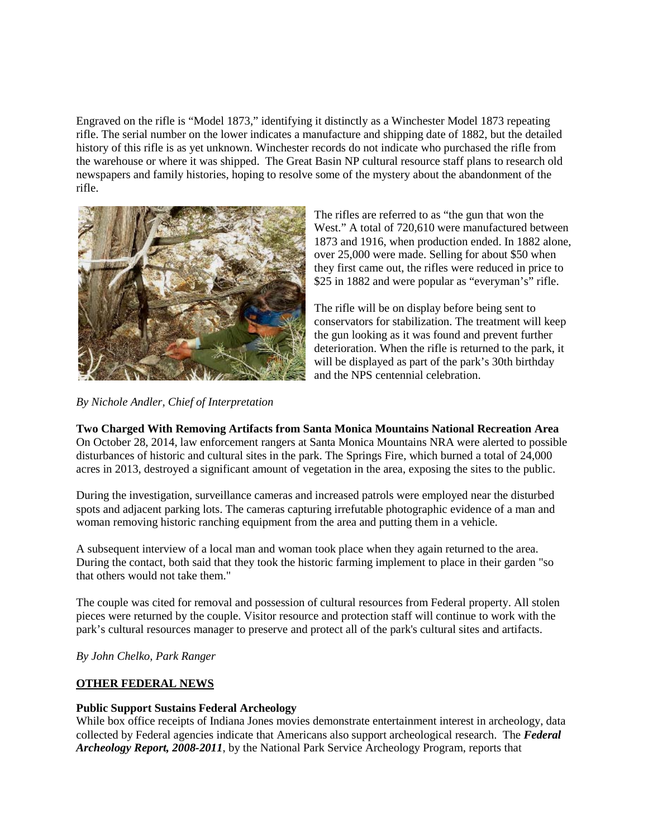Engraved on the rifle is "Model 1873," identifying it distinctly as a Winchester Model 1873 repeating rifle. The serial number on the lower indicates a manufacture and shipping date of 1882, but the detailed history of this rifle is as yet unknown. Winchester records do not indicate who purchased the rifle from the warehouse or where it was shipped. The Great Basin NP cultural resource staff plans to research old newspapers and family histories, hoping to resolve some of the mystery about the abandonment of the rifle.



The rifles are referred to as "the gun that won the West." A total of 720,610 were manufactured between 1873 and 1916, when production ended. In 1882 alone, over 25,000 were made. Selling for about \$50 when they first came out, the rifles were reduced in price to \$25 in 1882 and were popular as "everyman's" rifle.

The rifle will be on display before being sent to conservators for stabilization. The treatment will keep the gun looking as it was found and prevent further deterioration. When the rifle is returned to the park, it will be displayed as part of the park's 30th birthday and the NPS centennial celebration.

*By Nichole Andler, Chief of Interpretation*

# **Two Charged With Removing Artifacts from Santa Monica Mountains National Recreation Area**

On October 28, 2014, law enforcement rangers at Santa Monica Mountains NRA were alerted to possible disturbances of historic and cultural sites in the park. The Springs Fire, which burned a total of 24,000 acres in 2013, destroyed a significant amount of vegetation in the area, exposing the sites to the public.

During the investigation, surveillance cameras and increased patrols were employed near the disturbed spots and adjacent parking lots. The cameras capturing irrefutable photographic evidence of a man and woman removing historic ranching equipment from the area and putting them in a vehicle.

A subsequent interview of a local man and woman took place when they again returned to the area. During the contact, both said that they took the historic farming implement to place in their garden "so that others would not take them."

The couple was cited for removal and possession of cultural resources from Federal property. All stolen pieces were returned by the couple. Visitor resource and protection staff will continue to work with the park's cultural resources manager to preserve and protect all of the park's cultural sites and artifacts.

*By John Chelko, Park Ranger*

## **OTHER FEDERAL NEWS**

## **Public Support Sustains Federal Archeology**

While box office receipts of Indiana Jones movies demonstrate entertainment interest in archeology, data collected by Federal agencies indicate that Americans also support archeological research. The *Federal Archeology Report, 2008-2011*, by the National Park Service Archeology Program, reports that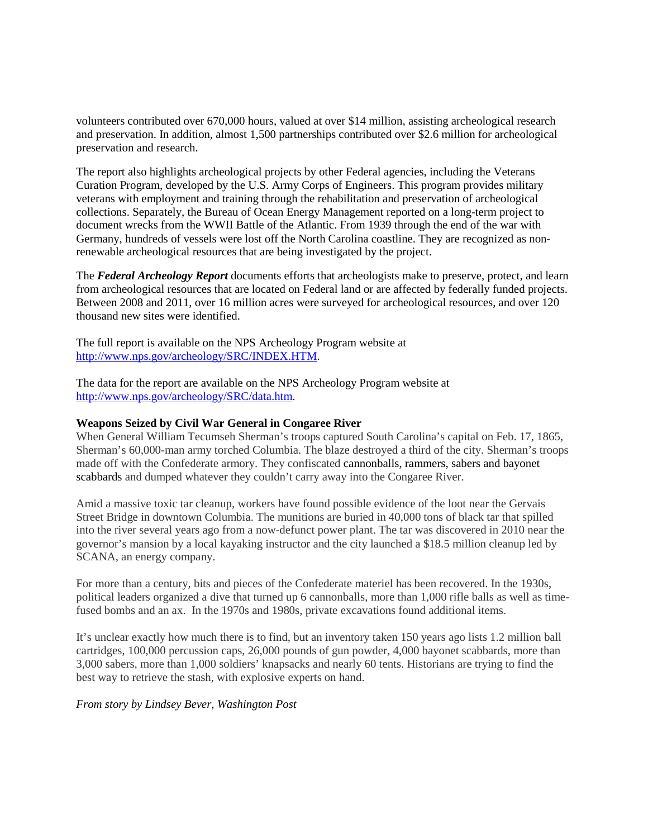volunteers contributed over 670,000 hours, valued at over \$14 million, assisting archeological research and preservation. In addition, almost 1,500 partnerships contributed over \$2.6 million for archeological preservation and research.

The report also highlights archeological projects by other Federal agencies, including the Veterans Curation Program, developed by the U.S. Army Corps of Engineers. This program provides military veterans with employment and training through the rehabilitation and preservation of archeological collections. Separately, the Bureau of Ocean Energy Management reported on a long-term project to document wrecks from the WWII Battle of the Atlantic. From 1939 through the end of the war with Germany, hundreds of vessels were lost off the North Carolina coastline. They are recognized as nonrenewable archeological resources that are being investigated by the project.

The *Federal Archeology Report* documents efforts that archeologists make to preserve, protect, and learn from archeological resources that are located on Federal land or are affected by federally funded projects. Between 2008 and 2011, over 16 million acres were surveyed for archeological resources, and over 120 thousand new sites were identified.

The full report is available on the NPS Archeology Program website at [http://www.nps.gov/archeology/SRC/INDEX.HTM.](http://www.nps.gov/archeology/SRC/INDEX.HTM)

The data for the report are available on the NPS Archeology Program website at [http://www.nps.gov/archeology/SRC/data.htm.](http://www.nps.gov/archeology/SRC/data.htm)

#### **Weapons Seized by Civil War General in Congaree River**

When General William Tecumseh Sherman's troops captured South Carolina's capital on Feb. 17, 1865, Sherman's 60,000-man army torched Columbia. The blaze destroyed a third of the city. Sherman's troops made off with the Confederate armory. They confiscated cannonballs, rammers, sabers and bayonet scabbards and dumped whatever they couldn't carry away into the Congaree River.

Amid a massive toxic tar cleanup, workers have found possible evidence of the loot near the Gervais Street Bridge in downtown Columbia. The munitions are buried in 40,000 tons of black tar that spilled into the river several years ago from a now-defunct power plant. The tar was discovered in 2010 near the governor's mansion by a local kayaking instructor and the city launched a \$18.5 million cleanup led by SCANA, an energy company.

For more than a century, bits and pieces of the Confederate materiel has been recovered. In the 1930s, political leaders organized a dive that turned up 6 cannonballs, more than 1,000 rifle balls as well as timefused bombs and an ax. In the 1970s and 1980s, private excavations found additional items.

It's unclear exactly how much there is to find, but an inventory taken 150 years ago lists 1.2 million ball cartridges, 100,000 percussion caps, 26,000 pounds of gun powder, 4,000 bayonet scabbards, more than 3,000 sabers, more than 1,000 soldiers' knapsacks and nearly 60 tents. Historians are trying to find the best way to retrieve the stash, with explosive experts on hand.

#### *From story by Lindsey Bever, Washington Post*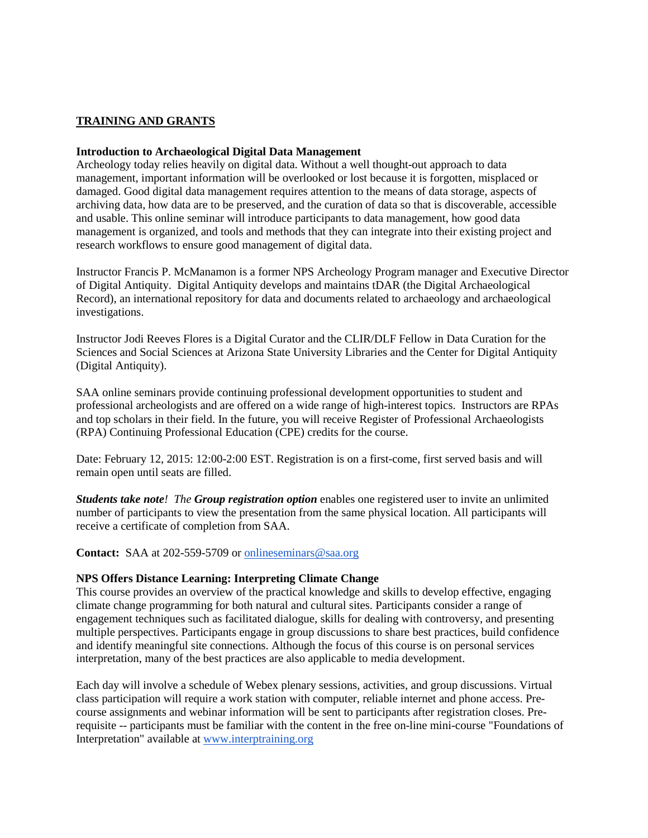## **TRAINING AND GRANTS**

#### **Introduction to Archaeological Digital Data Management**

Archeology today relies heavily on digital data. Without a well thought-out approach to data management, important information will be overlooked or lost because it is forgotten, misplaced or damaged. Good digital data management requires attention to the means of data storage, aspects of archiving data, how data are to be preserved, and the curation of data so that is discoverable, accessible and usable. This online seminar will introduce participants to data management, how good data management is organized, and tools and methods that they can integrate into their existing project and research workflows to ensure good management of digital data.

Instructor Francis P. McManamon is a former NPS Archeology Program manager and Executive Director of Digital Antiquity. Digital Antiquity develops and maintains tDAR (the Digital Archaeological Record), an international repository for data and documents related to archaeology and archaeological investigations.

Instructor Jodi Reeves Flores is a Digital Curator and the CLIR/DLF Fellow in Data Curation for the Sciences and Social Sciences at Arizona State University Libraries and the Center for Digital Antiquity (Digital Antiquity).

SAA online seminars provide continuing professional development opportunities to student and professional archeologists and are offered on a wide range of high-interest topics. Instructors are RPAs and top scholars in their field. In the future, you will receive Register of Professional Archaeologists (RPA) Continuing Professional Education (CPE) credits for the course.

Date: February 12, 2015: 12:00-2:00 EST. Registration is on a first-come, first served basis and will remain open until seats are filled.

*Students take note! The Group registration option* enables one registered user to invite an unlimited number of participants to view the presentation from the same physical location. All participants will receive a certificate of completion from SAA.

**Contact:** SAA at 202-559-5709 or [onlineseminars@saa.org](mailto:onlineseminars@saa.org)

## **NPS Offers Distance Learning: Interpreting Climate Change**

This course provides an overview of the practical knowledge and skills to develop effective, engaging climate change programming for both natural and cultural sites. Participants consider a range of engagement techniques such as facilitated dialogue, skills for dealing with controversy, and presenting multiple perspectives. Participants engage in group discussions to share best practices, build confidence and identify meaningful site connections. Although the focus of this course is on personal services interpretation, many of the best practices are also applicable to media development.

Each day will involve a schedule of Webex plenary sessions, activities, and group discussions. Virtual class participation will require a work station with computer, reliable internet and phone access. Precourse assignments and webinar information will be sent to participants after registration closes. Prerequisite -- participants must be familiar with the content in the free on-line mini-course "Foundations of Interpretation" available at [www.interptraining.org](http://www.interptraining.org/)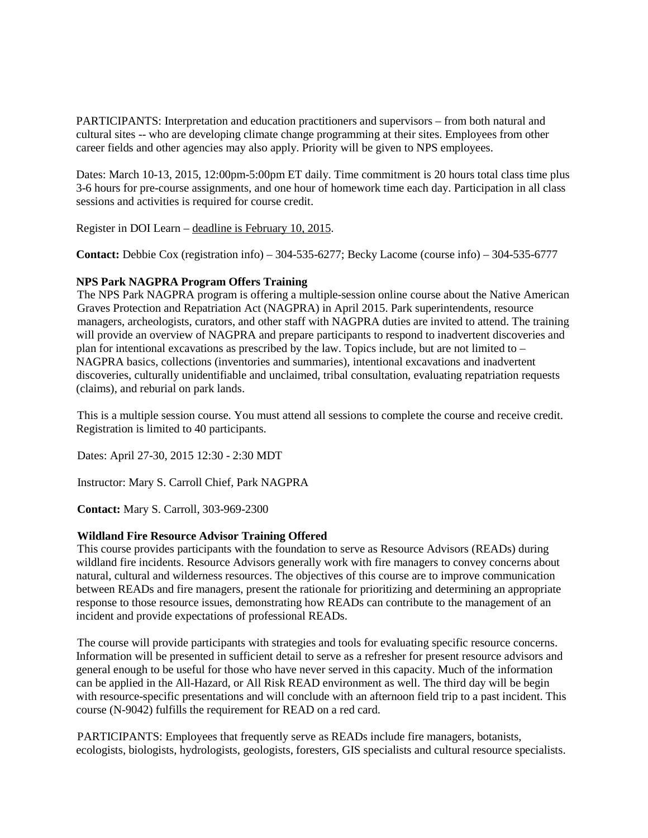PARTICIPANTS: Interpretation and education practitioners and supervisors – from both natural and cultural sites -- who are developing climate change programming at their sites. Employees from other career fields and other agencies may also apply. Priority will be given to NPS employees.

Dates: March 10-13, 2015, 12:00pm-5:00pm ET daily. Time commitment is 20 hours total class time plus 3-6 hours for pre-course assignments, and one hour of homework time each day. Participation in all class sessions and activities is required for course credit.

Register in DOI Learn – deadline is February 10, 2015.

**Contact:** Debbie Cox (registration info) – 304-535-6277; Becky Lacome (course info) – 304-535-6777

### **NPS Park NAGPRA Program Offers Training**

The NPS Park NAGPRA program is offering a multiple-session online course about the Native American Graves Protection and Repatriation Act (NAGPRA) in April 2015. Park superintendents, resource managers, archeologists, curators, and other staff with NAGPRA duties are invited to attend. The training will provide an overview of NAGPRA and prepare participants to respond to inadvertent discoveries and plan for intentional excavations as prescribed by the law. Topics include, but are not limited to – NAGPRA basics, collections (inventories and summaries), intentional excavations and inadvertent discoveries, culturally unidentifiable and unclaimed, tribal consultation, evaluating repatriation requests (claims), and reburial on park lands.

This is a multiple session course. You must attend all sessions to complete the course and receive credit. Registration is limited to 40 participants.

Dates: April 27-30, 2015 12:30 - 2:30 MDT

Instructor: Mary S. Carroll Chief, Park NAGPRA

**Contact:** Mary S. Carroll, 303-969-2300

## **Wildland Fire Resource Advisor Training Offered**

This course provides participants with the foundation to serve as Resource Advisors (READs) during wildland fire incidents. Resource Advisors generally work with fire managers to convey concerns about natural, cultural and wilderness resources. The objectives of this course are to improve communication between READs and fire managers, present the rationale for prioritizing and determining an appropriate response to those resource issues, demonstrating how READs can contribute to the management of an incident and provide expectations of professional READs.

The course will provide participants with strategies and tools for evaluating specific resource concerns. Information will be presented in sufficient detail to serve as a refresher for present resource advisors and general enough to be useful for those who have never served in this capacity. Much of the information can be applied in the All-Hazard, or All Risk READ environment as well. The third day will be begin with resource-specific presentations and will conclude with an afternoon field trip to a past incident. This course (N-9042) fulfills the requirement for READ on a red card.

PARTICIPANTS: Employees that frequently serve as READs include fire managers, botanists, ecologists, biologists, hydrologists, geologists, foresters, GIS specialists and cultural resource specialists.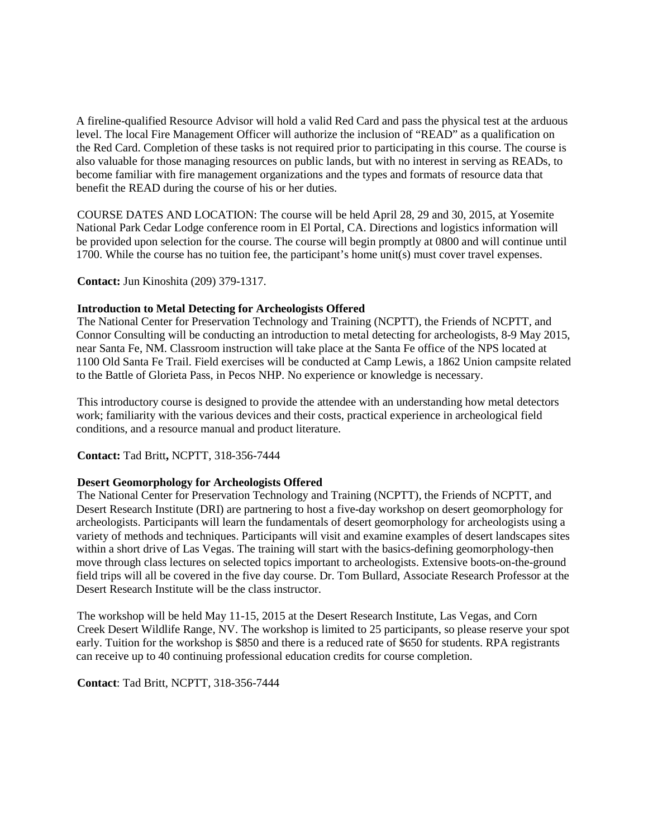A fireline-qualified Resource Advisor will hold a valid Red Card and pass the physical test at the arduous level. The local Fire Management Officer will authorize the inclusion of "READ" as a qualification on the Red Card. Completion of these tasks is not required prior to participating in this course. The course is also valuable for those managing resources on public lands, but with no interest in serving as READs, to become familiar with fire management organizations and the types and formats of resource data that benefit the READ during the course of his or her duties.

COURSE DATES AND LOCATION: The course will be held April 28, 29 and 30, 2015, at Yosemite National Park Cedar Lodge conference room in El Portal, CA. Directions and logistics information will be provided upon selection for the course. The course will begin promptly at 0800 and will continue until 1700. While the course has no tuition fee, the participant's home unit(s) must cover travel expenses.

**Contact:** Jun Kinoshita (209) 379-1317.

## **Introduction to Metal Detecting for Archeologists Offered**

The National Center for Preservation Technology and Training (NCPTT), the Friends of NCPTT, and Connor Consulting will be conducting an introduction to metal detecting for archeologists, 8-9 May 2015, near Santa Fe, NM. Classroom instruction will take place at the Santa Fe office of the NPS located at 1100 Old Santa Fe Trail. Field exercises will be conducted at Camp Lewis, a 1862 Union campsite related to the Battle of Glorieta Pass, in Pecos NHP. No experience or knowledge is necessary.

This introductory course is designed to provide the attendee with an understanding how metal detectors work; familiarity with the various devices and their costs, practical experience in archeological field conditions, and a resource manual and product literature.

#### **Contact:** Tad Britt**,** NCPTT, 318-356-7444

## **Desert Geomorphology for Archeologists Offered**

The National Center for Preservation Technology and Training (NCPTT), the Friends of NCPTT, and Desert Research Institute (DRI) are partnering to host a five-day workshop on desert geomorphology for archeologists. Participants will learn the fundamentals of desert geomorphology for archeologists using a variety of methods and techniques. Participants will visit and examine examples of desert landscapes sites within a short drive of Las Vegas. The training will start with the basics-defining geomorphology-then move through class lectures on selected topics important to archeologists. Extensive boots-on-the-ground field trips will all be covered in the five day course. Dr. Tom Bullard, Associate Research Professor at the Desert Research Institute will be the class instructor.

The workshop will be held May 11-15, 2015 at the Desert Research Institute, Las Vegas, and Corn Creek Desert Wildlife Range, NV. The workshop is limited to 25 participants, so please reserve your spot early. Tuition for the workshop is \$850 and there is a reduced rate of \$650 for students. RPA registrants can receive up to 40 continuing professional education credits for course completion.

**Contact**: Tad Britt, NCPTT, 318-356-7444